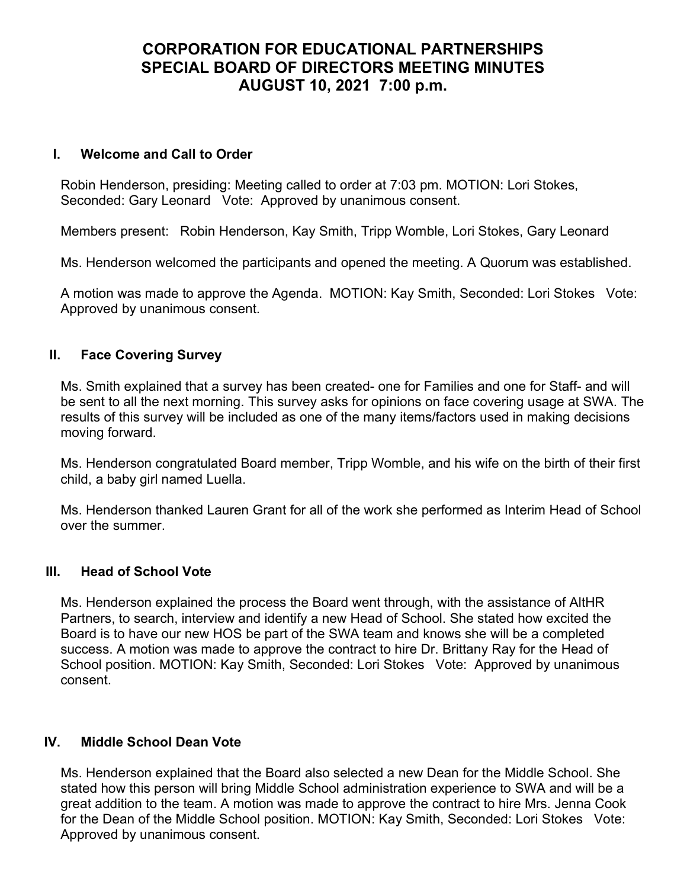# CORPORATION FOR EDUCATIONAL PARTNERSHIPS SPECIAL BOARD OF DIRECTORS MEETING MINUTES AUGUST 10, 2021 7:00 p.m.

### I. Welcome and Call to Order

Robin Henderson, presiding: Meeting called to order at 7:03 pm. MOTION: Lori Stokes, Seconded: Gary Leonard Vote: Approved by unanimous consent.

Members present: Robin Henderson, Kay Smith, Tripp Womble, Lori Stokes, Gary Leonard

Ms. Henderson welcomed the participants and opened the meeting. A Quorum was established.

A motion was made to approve the Agenda. MOTION: Kay Smith, Seconded: Lori Stokes Vote: Approved by unanimous consent.

## II. Face Covering Survey

Ms. Smith explained that a survey has been created- one for Families and one for Staff- and will be sent to all the next morning. This survey asks for opinions on face covering usage at SWA. The results of this survey will be included as one of the many items/factors used in making decisions moving forward.

Ms. Henderson congratulated Board member, Tripp Womble, and his wife on the birth of their first child, a baby girl named Luella.

Ms. Henderson thanked Lauren Grant for all of the work she performed as Interim Head of School over the summer.

#### III. Head of School Vote

Ms. Henderson explained the process the Board went through, with the assistance of AltHR Partners, to search, interview and identify a new Head of School. She stated how excited the Board is to have our new HOS be part of the SWA team and knows she will be a completed success. A motion was made to approve the contract to hire Dr. Brittany Ray for the Head of School position. MOTION: Kay Smith, Seconded: Lori Stokes Vote: Approved by unanimous consent.

## IV. Middle School Dean Vote

Ms. Henderson explained that the Board also selected a new Dean for the Middle School. She stated how this person will bring Middle School administration experience to SWA and will be a great addition to the team. A motion was made to approve the contract to hire Mrs. Jenna Cook for the Dean of the Middle School position. MOTION: Kay Smith, Seconded: Lori Stokes Vote: Approved by unanimous consent.